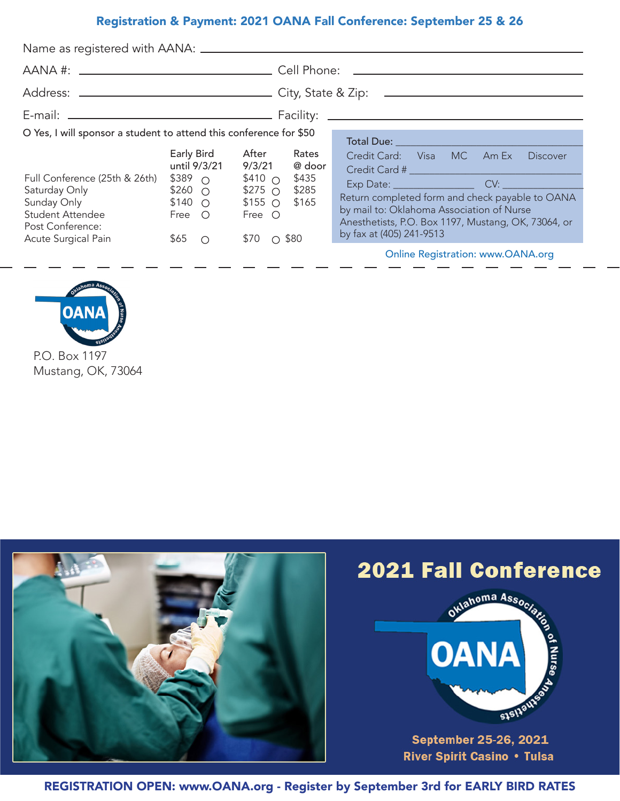# Registration & Payment: 2021 OANA Fall Conference: September 25 & 26

| O Yes, I will sponsor a student to attend this conference for \$50<br>Full Conference (25th & 26th)<br>Saturday Only<br>Sunday Only <b>Sunday</b><br><b>Student Attendee</b><br>Post Conference:<br><b>Acute Surgical Pain</b> | Early Bird<br>until 9/3/21<br>$$389$ $\cap$<br>$$260$ $\circ$<br>$$140$ O<br>Free O<br>$$65$ O | After<br>Rates<br>@ door<br>9/3/21<br>$$410\circ$<br>\$435<br>\$285<br>$$275$ $\circ$<br>\$165<br>$$155$ O<br>Free $\bigcirc$<br>$$70$ 0 \$80 | Credit Card: Visa MC Am Ex<br><b>Discover</b><br>Return completed form and check payable to OANA<br>by mail to: Oklahoma Association of Nurse<br>Anesthetists, P.O. Box 1197, Mustang, OK, 73064, or<br>by fax at (405) 241-9513<br><b>Online Registration: www.OANA.org</b> |
|--------------------------------------------------------------------------------------------------------------------------------------------------------------------------------------------------------------------------------|------------------------------------------------------------------------------------------------|-----------------------------------------------------------------------------------------------------------------------------------------------|------------------------------------------------------------------------------------------------------------------------------------------------------------------------------------------------------------------------------------------------------------------------------|



P.O. Box 1197 Mustang, OK, 73064



REGISTRATION OPEN: www.OANA.org - Register by September 3rd for EARLY BIRD RATES